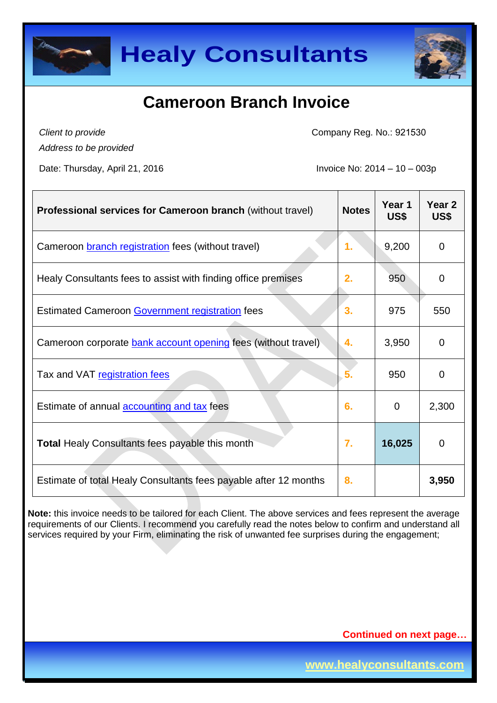



# **Cameroon Branch Invoice**

*Client to provide Address to be provided*

Company Reg. No.: 921530

Date: Thursday, April 21, 2016 **Invoice No: 2014 – 10 – 003p** 

| <b>Professional services for Cameroon branch (without travel)</b>    | <b>Notes</b>   | Year 1<br>US\$ | Year <sub>2</sub><br>US\$ |
|----------------------------------------------------------------------|----------------|----------------|---------------------------|
| Cameroon <b>branch registration</b> fees (without travel)            | $\mathbf{1}$ . | 9,200          | $\Omega$                  |
| Healy Consultants fees to assist with finding office premises        | 2.             | 950            | $\overline{0}$            |
| <b>Estimated Cameroon Government registration fees</b>               | 3.             | 975            | 550                       |
| Cameroon corporate <b>bank account opening fees</b> (without travel) | 4.             | 3,950          | $\Omega$                  |
| Tax and VAT registration fees                                        | 5 <sub>1</sub> | 950            | 0                         |
| Estimate of annual <b>accounting and tax</b> fees                    | 6.             | $\mathbf 0$    | 2,300                     |
| Total Healy Consultants fees payable this month                      | $\mathbf{7}$ . | 16,025         | $\mathbf 0$               |
| Estimate of total Healy Consultants fees payable after 12 months     | 8.             |                | 3,950                     |

**Note:** this invoice needs to be tailored for each Client. The above services and fees represent the average requirements of our Clients. I recommend you carefully read the notes below to confirm and understand all services required by your Firm, eliminating the risk of unwanted fee surprises during the engagement;

**Continued on next page…**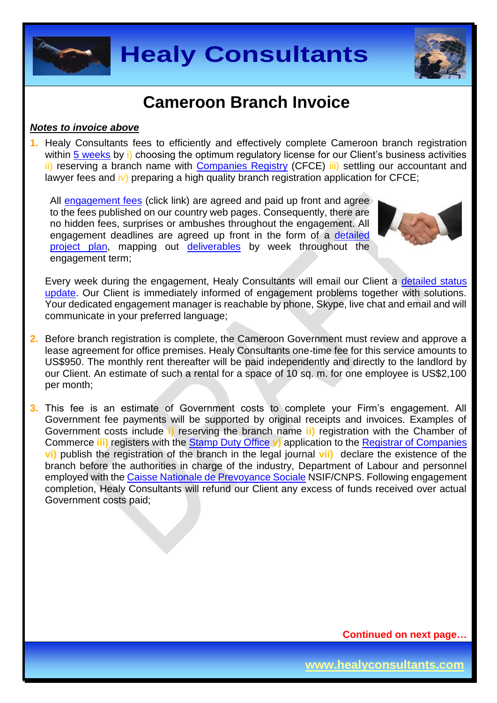



## **Cameroon Branch Invoice**

#### *Notes to invoice above*

**1.** Healy Consultants fees to efficiently and effectively complete Cameroon branch registration within [5 weeks](http://www.healyconsultants.com/cameroon-company-registration/fees-timelines/) by i) choosing the optimum regulatory license for our Client's business activities ii) reserving a branch name with [Companies Registry](http://www.cfce.cm/) (CFCE) iii) settling our accountant and lawyer fees and  $\overline{iv}$ ) preparing a high quality branch registration application for CFCE;

All [engagement fees](http://www.healyconsultants.com/company-registration-fees/) (click link) are agreed and paid up front and agree to the fees published on our country web pages. Consequently, there are no hidden fees, surprises or ambushes throughout the engagement. All engagement deadlines are agreed up front in the form of a [detailed](http://www.healyconsultants.com/index-important-links/example-project-plan/)  [project plan,](http://www.healyconsultants.com/index-important-links/example-project-plan/) mapping out [deliverables](http://www.healyconsultants.com/deliverables-to-our-clients/) by week throughout the engagement term;



Every week during the engagement, Healy Consultants will email our Client a detailed status [update.](http://www.healyconsultants.com/index-important-links/weekly-engagement-status-email/) Our Client is immediately informed of engagement problems together with solutions. Your dedicated engagement manager is reachable by phone, Skype, live chat and email and will communicate in your preferred language;

- **2.** Before branch registration is complete, the Cameroon Government must review and approve a lease agreement for office premises. Healy Consultants one-time fee for this service amounts to US\$950. The monthly rent thereafter will be paid independently and directly to the landlord by our Client. An estimate of such a rental for a space of 10 sq. m. for one employee is US\$2,100 per month;
- **3.** This fee is an estimate of Government costs to complete your Firm's engagement. All Government fee payments will be supported by original receipts and invoices. Examples of Government costs include **i)** reserving the branch name **ii)** registration with the Chamber of Commerce **iii)** registers with the [Stamp Duty Office](http://www.impots.cm/?hl=en_US) **v)** application to the [Registrar of Companies](http://www.cfce.cm/) **vi)** publish the registration of the branch in the legal journal **vii)** declare the existence of the branch before the authorities in charge of the industry, Department of Labour and personnel employed with the [Caisse Nationale de Prevoyance Sociale](http://www.cnps.cm/) NSIF/CNPS. Following engagement completion, Healy Consultants will refund our Client any excess of funds received over actual Government costs paid;

**Continued on next page…**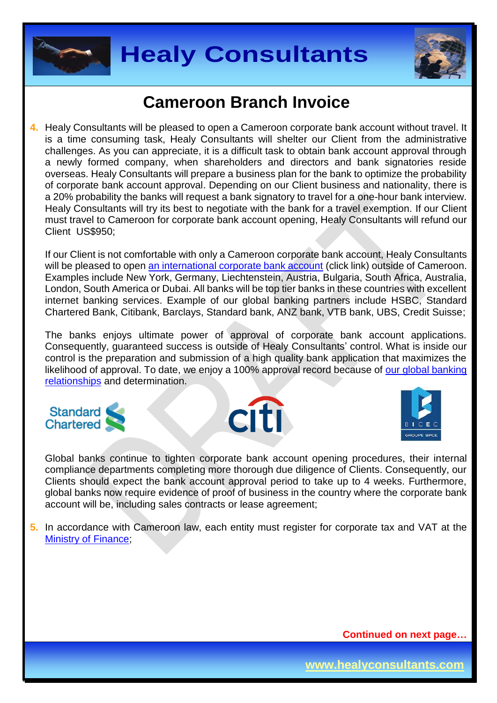



## **Cameroon Branch Invoice**

**4.** Healy Consultants will be pleased to open a Cameroon corporate bank account without travel. It is a time consuming task, Healy Consultants will shelter our Client from the administrative challenges. As you can appreciate, it is a difficult task to obtain bank account approval through a newly formed company, when shareholders and directors and bank signatories reside overseas. Healy Consultants will prepare a business plan for the bank to optimize the probability of corporate bank account approval. Depending on our Client business and nationality, there is a 20% probability the banks will request a bank signatory to travel for a one-hour bank interview. Healy Consultants will try its best to negotiate with the bank for a travel exemption. If our Client must travel to Cameroon for corporate bank account opening, Healy Consultants will refund our Client US\$950;

If our Client is not comfortable with only a Cameroon corporate bank account, Healy Consultants will be pleased to open [an international corporate bank account](http://www.healyconsultants.com/international-banking/) (click link) outside of Cameroon. Examples include New York, Germany, Liechtenstein, Austria, Bulgaria, South Africa, Australia, London, South America or Dubai. All banks will be top tier banks in these countries with excellent internet banking services. Example of our global banking partners include HSBC, Standard Chartered Bank, Citibank, Barclays, Standard bank, ANZ bank, VTB bank, UBS, Credit Suisse;

The banks enjoys ultimate power of approval of corporate bank account applications. Consequently, guaranteed success is outside of Healy Consultants' control. What is inside our control is the preparation and submission of a high quality bank application that maximizes the likelihood of approval. To date, we enjoy a 100% approval record because of our global banking [relationships](http://www.healyconsultants.com/international-banking/corporate-accounts/) and determination.







Global banks continue to tighten corporate bank account opening procedures, their internal compliance departments completing more thorough due diligence of Clients. Consequently, our Clients should expect the bank account approval period to take up to 4 weeks. Furthermore, global banks now require evidence of proof of business in the country where the corporate bank account will be, including sales contracts or lease agreement;

**5.** In accordance with Cameroon law, each entity must register for corporate tax and VAT at the [Ministry of Finance;](http://www.impots.cm/index.php?page=droits-d-enregistrement&hl=fr_FR)

**Continued on next page…**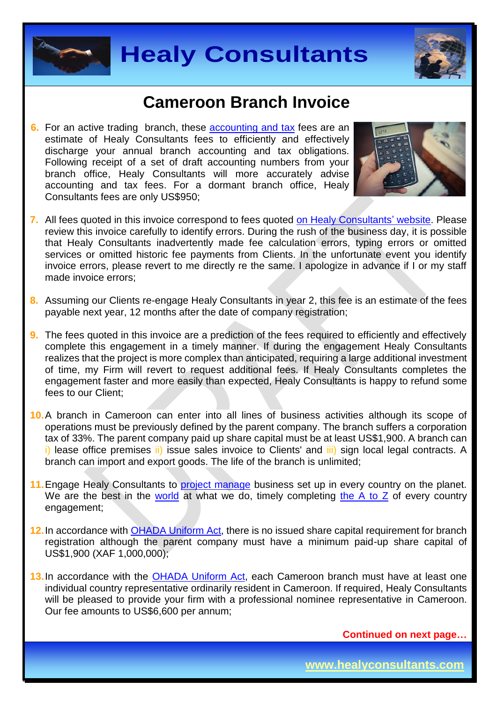



### **Cameroon Branch Invoice**

**6.** For an active trading branch, these [accounting and tax](http://www.healyconsultants.com/cameroon-company-registration/accounting-legal/) fees are an estimate of Healy Consultants fees to efficiently and effectively discharge your annual branch accounting and tax obligations. Following receipt of a set of draft accounting numbers from your branch office, Healy Consultants will more accurately advise accounting and tax fees. For a dormant branch office, Healy Consultants fees are only US\$950;



- **7.** All fees quoted in this invoice correspond to fees quoted [on Healy Consultants' website.](http://www.healyconsultants.com/company-registration-fees/) Please review this invoice carefully to identify errors. During the rush of the business day, it is possible that Healy Consultants inadvertently made fee calculation errors, typing errors or omitted services or omitted historic fee payments from Clients. In the unfortunate event you identify invoice errors, please revert to me directly re the same. I apologize in advance if I or my staff made invoice errors;
- **8.** Assuming our Clients re-engage Healy Consultants in year 2, this fee is an estimate of the fees payable next year, 12 months after the date of company registration;
- **9.** The fees quoted in this invoice are a prediction of the fees required to efficiently and effectively complete this engagement in a timely manner. If during the engagement Healy Consultants realizes that the project is more complex than anticipated, requiring a large additional investment of time, my Firm will revert to request additional fees. If Healy Consultants completes the engagement faster and more easily than expected, Healy Consultants is happy to refund some fees to our Client;
- **10.**A branch in Cameroon can enter into all lines of business activities although its scope of operations must be previously defined by the parent company. The branch suffers a corporation tax of 33%. The parent company paid up share capital must be at least US\$1,900. A branch can i) lease office premises ii) issue sales invoice to Clients' and iii) sign local legal contracts. A branch can import and export goods. The life of the branch is unlimited;
- 11. Engage Healy Consultants to **project manage** business set up in every country on the planet. We are the best in the [world](http://www.healyconsultants.com/best-in-the-world/) at what we do, timely completing [the A to Z](http://www.healyconsultants.com/a-to-z-of-business-set-up/) of every country engagement;
- **12.**In accordance with [OHADA Uniform Act,](http://www.juriscope.org/uploads/pdf/ohada/OHADA_en/societe-gb.pdf) there is no issued share capital requirement for branch registration although the parent company must have a minimum paid-up share capital of US\$1,900 (XAF 1,000,000);
- **13.**In accordance with the [OHADA Uniform Act,](http://www.juriscope.org/uploads/pdf/ohada/OHADA_en/societe-gb.pdf) each Cameroon branch must have at least one individual country representative ordinarily resident in Cameroon. If required, Healy Consultants will be pleased to provide your firm with a professional nominee representative in Cameroon. Our fee amounts to US\$6,600 per annum;

**Continued on next page…**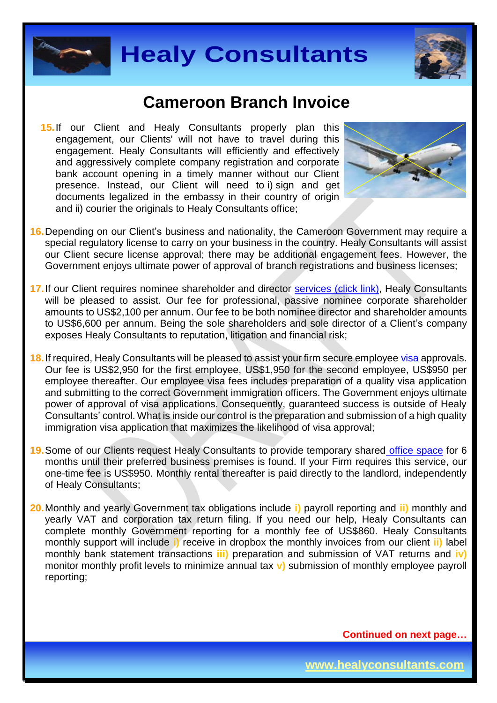



### **Cameroon Branch Invoice**

**15.** If our Client and Healy Consultants properly plan this engagement, our Clients' will not have to travel during this engagement. Healy Consultants will efficiently and effectively and aggressively complete company registration and corporate bank account opening in a timely manner without our Client presence. Instead, our Client will need to i) sign and get documents legalized in the embassy in their country of origin and ii) courier the originals to Healy Consultants office:



- **16.**Depending on our Client's business and nationality, the Cameroon Government may require a special regulatory license to carry on your business in the country. Healy Consultants will assist our Client secure license approval; there may be additional engagement fees. However, the Government enjoys ultimate power of approval of branch registrations and business licenses;
- 17. If our Client requires nominee shareholder and director services [\(click link\),](http://www.healyconsultants.com/corporate-outsourcing-services/nominee-shareholders-directors/) Healy Consultants will be pleased to assist. Our fee for professional, passive nominee corporate shareholder amounts to US\$2,100 per annum. Our fee to be both nominee director and shareholder amounts to US\$6,600 per annum. Being the sole shareholders and sole director of a Client's company exposes Healy Consultants to reputation, litigation and financial risk;
- **18.**If required, Healy Consultants will be pleased to assist your firm secure employee [visa](http://www.visa-en-ligne.com/pays/Cameroun.php) approvals. Our fee is US\$2,950 for the first employee, US\$1,950 for the second employee, US\$950 per employee thereafter. Our employee visa fees includes preparation of a quality visa application and submitting to the correct Government immigration officers. The Government enjoys ultimate power of approval of visa applications. Consequently, guaranteed success is outside of Healy Consultants' control. What is inside our control is the preparation and submission of a high quality immigration visa application that maximizes the likelihood of visa approval;
- **19.**Some of our Clients request Healy Consultants to provide temporary shared [office space](http://www.healyconsultants.com/virtual-office/) for 6 months until their preferred business premises is found. If your Firm requires this service, our one-time fee is US\$950. Monthly rental thereafter is paid directly to the landlord, independently of Healy Consultants;
- **20.**Monthly and yearly Government tax obligations include **i)** payroll reporting and **ii)** monthly and yearly VAT and corporation tax return filing. If you need our help, Healy Consultants can complete monthly Government reporting for a monthly fee of US\$860. Healy Consultants monthly support will include **i)** receive in dropbox the monthly invoices from our client **ii)** label monthly bank statement transactions **iii)** preparation and submission of VAT returns and **iv)** monitor monthly profit levels to minimize annual tax **v)** submission of monthly employee payroll reporting;

**Continued on next page…**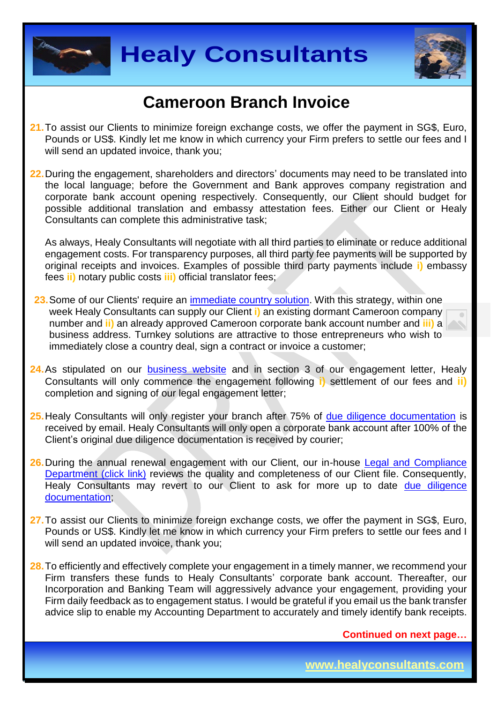



### **Cameroon Branch Invoice**

- **21.**To assist our Clients to minimize foreign exchange costs, we offer the payment in SG\$, Euro, Pounds or US\$. Kindly let me know in which currency your Firm prefers to settle our fees and I will send an updated invoice, thank you:
- **22.**During the engagement, shareholders and directors' documents may need to be translated into the local language; before the Government and Bank approves company registration and corporate bank account opening respectively. Consequently, our Client should budget for possible additional translation and embassy attestation fees. Either our Client or Healy Consultants can complete this administrative task;

As always, Healy Consultants will negotiate with all third parties to eliminate or reduce additional engagement costs. For transparency purposes, all third party fee payments will be supported by original receipts and invoices. Examples of possible third party payments include **i)** embassy fees **ii)** notary public costs **iii)** official translator fees;

- 23. Some of our Clients' require an [immediate country](http://www.healyconsultants.com/turnkey-solutions/) solution. With this strategy, within one week Healy Consultants can supply our Client **i)** an existing dormant Cameroon company number and **ii)** an already approved Cameroon corporate bank account number and **iii)** a business address. Turnkey solutions are attractive to those entrepreneurs who wish to immediately close a country deal, sign a contract or invoice a customer;
- 24. As stipulated on our [business website](http://www.healyconsultants.com/) and in section 3 of our engagement letter, Healy Consultants will only commence the engagement following **i)** settlement of our fees and **ii)** completion and signing of our legal engagement letter;
- 25. Healy Consultants will only register your branch after 75% of [due diligence documentation](http://www.healyconsultants.com/due-diligence/) is received by email. Healy Consultants will only open a corporate bank account after 100% of the Client's original due diligence documentation is received by courier;
- **26.**During the annual renewal engagement with our Client, our in-house [Legal and Compliance](http://www.healyconsultants.com/about-us/key-personnel/cai-xin-profile/)  [Department \(click link\)](http://www.healyconsultants.com/about-us/key-personnel/cai-xin-profile/) reviews the quality and completeness of our Client file. Consequently, Healy Consultants may revert to our Client to ask for more up to date due diligence [documentation;](http://www.healyconsultants.com/due-diligence/)
- **27.**To assist our Clients to minimize foreign exchange costs, we offer the payment in SG\$, Euro, Pounds or US\$. Kindly let me know in which currency your Firm prefers to settle our fees and I will send an updated invoice, thank you;
- **28.**To efficiently and effectively complete your engagement in a timely manner, we recommend your Firm transfers these funds to Healy Consultants' corporate bank account. Thereafter, our Incorporation and Banking Team will aggressively advance your engagement, providing your Firm daily feedback as to engagement status. I would be grateful if you email us the bank transfer advice slip to enable my Accounting Department to accurately and timely identify bank receipts.

**Continued on next page…**